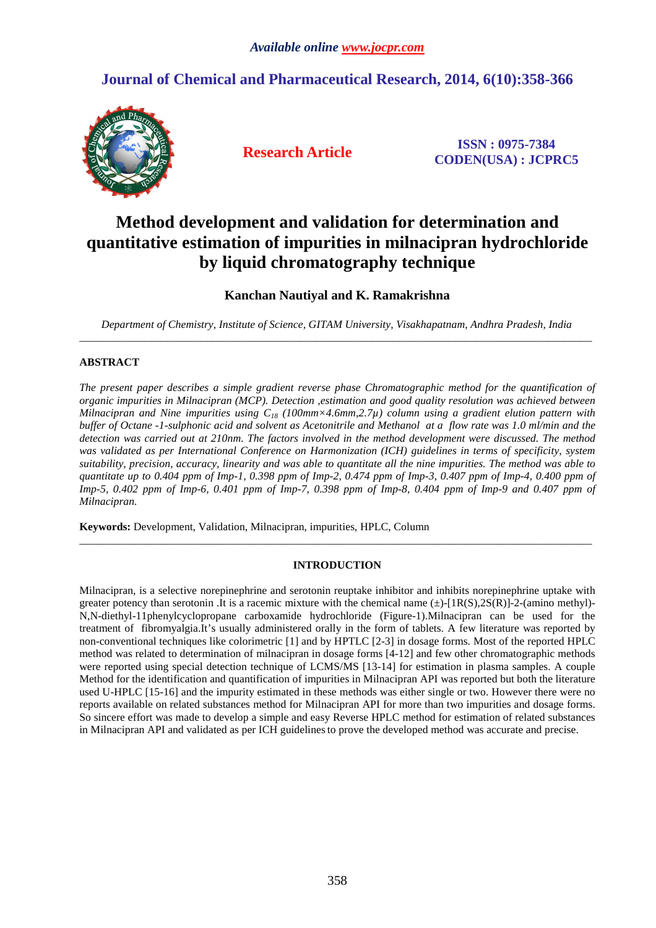# **Journal of Chemical and Pharmaceutical Research, 2014, 6(10):358-366**



**Research Article ISSN : 0975-7384 CODEN(USA) : JCPRC5**

# **Method development and validation for determination and quantitative estimation of impurities in milnacipran hydrochloride by liquid chromatography technique**

## **Kanchan Nautiyal and K. Ramakrishna**

*Department of Chemistry, Institute of Science, GITAM University, Visakhapatnam, Andhra Pradesh, India*  \_\_\_\_\_\_\_\_\_\_\_\_\_\_\_\_\_\_\_\_\_\_\_\_\_\_\_\_\_\_\_\_\_\_\_\_\_\_\_\_\_\_\_\_\_\_\_\_\_\_\_\_\_\_\_\_\_\_\_\_\_\_\_\_\_\_\_\_\_\_\_\_\_\_\_\_\_\_\_\_\_\_\_\_\_\_\_\_\_\_\_\_\_

## **ABSTRACT**

*The present paper describes a simple gradient reverse phase Chromatographic method for the quantification of organic impurities in Milnacipran (MCP). Detection ,estimation and good quality resolution was achieved between Milnacipran and Nine impurities using C18 (100mm×4.6mm,2.7µ) column using a gradient elution pattern with buffer of Octane -1-sulphonic acid and solvent as Acetonitrile and Methanol at a flow rate was 1.0 ml/min and the detection was carried out at 210nm. The factors involved in the method development were discussed. The method was validated as per International Conference on Harmonization (ICH) guidelines in terms of specificity, system suitability, precision, accuracy, linearity and was able to quantitate all the nine impurities. The method was able to quantitate up to 0.404 ppm of Imp-1, 0.398 ppm of Imp-2, 0.474 ppm of Imp-3, 0.407 ppm of Imp-4, 0.400 ppm of Imp-5, 0.402 ppm of Imp-6, 0.401 ppm of Imp-7, 0.398 ppm of Imp-8, 0.404 ppm of Imp-9 and 0.407 ppm of Milnacipran.* 

**Keywords:** Development, Validation, Milnacipran, impurities, HPLC, Column

## **INTRODUCTION**

\_\_\_\_\_\_\_\_\_\_\_\_\_\_\_\_\_\_\_\_\_\_\_\_\_\_\_\_\_\_\_\_\_\_\_\_\_\_\_\_\_\_\_\_\_\_\_\_\_\_\_\_\_\_\_\_\_\_\_\_\_\_\_\_\_\_\_\_\_\_\_\_\_\_\_\_\_\_\_\_\_\_\_\_\_\_\_\_\_\_\_\_\_

Milnacipran, is a selective norepinephrine and serotonin reuptake inhibitor and inhibits norepinephrine uptake with greater potency than serotonin .It is a racemic mixture with the chemical name  $(\pm)$ -[1R(S),2S(R)]-2-(amino methyl)-N,N-diethyl-11phenylcyclopropane carboxamide hydrochloride (Figure-1).Milnacipran can be used for the treatment of fibromyalgia.It's usually administered orally in the form of tablets. A few literature was reported by non-conventional techniques like colorimetric [1] and by HPTLC [2-3] in dosage forms. Most of the reported HPLC method was related to determination of milnacipran in dosage forms [4-12] and few other chromatographic methods were reported using special detection technique of LCMS/MS [13-14] for estimation in plasma samples. A couple Method for the identification and quantification of impurities in Milnacipran API was reported but both the literature used U-HPLC [15-16] and the impurity estimated in these methods was either single or two. However there were no reports available on related substances method for Milnacipran API for more than two impurities and dosage forms. So sincere effort was made to develop a simple and easy Reverse HPLC method for estimation of related substances in Milnacipran API and validated as per ICH guidelinesto prove the developed method was accurate and precise.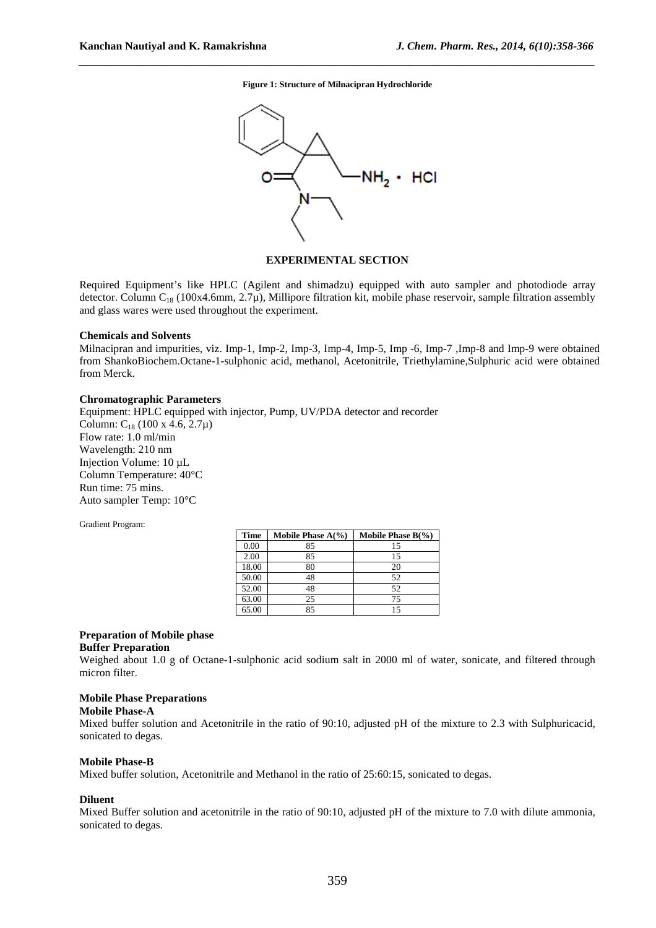**Figure 1: Structure of Milnacipran Hydrochloride** 

*\_\_\_\_\_\_\_\_\_\_\_\_\_\_\_\_\_\_\_\_\_\_\_\_\_\_\_\_\_\_\_\_\_\_\_\_\_\_\_\_\_\_\_\_\_\_\_\_\_\_\_\_\_\_\_\_\_\_\_\_\_\_\_\_\_\_\_\_\_\_\_\_\_\_\_\_\_\_*



## **EXPERIMENTAL SECTION**

Required Equipment's like HPLC (Agilent and shimadzu) equipped with auto sampler and photodiode array detector. Column C<sub>18</sub> (100x4.6mm, 2.7 $\mu$ ), Millipore filtration kit, mobile phase reservoir, sample filtration assembly and glass wares were used throughout the experiment.

#### **Chemicals and Solvents**

Milnacipran and impurities, viz. Imp-1, Imp-2, Imp-3, Imp-4, Imp-5, Imp -6, Imp-7 ,Imp-8 and Imp-9 were obtained from ShankoBiochem.Octane-1-sulphonic acid, methanol, Acetonitrile, Triethylamine,Sulphuric acid were obtained from Merck.

#### **Chromatographic Parameters**

Equipment: HPLC equipped with injector, Pump, UV/PDA detector and recorder Column:  $C_{18}$  (100 x 4.6, 2.7 $\mu$ ) Flow rate: 1.0 ml/min Wavelength: 210 nm Injection Volume: 10 µL Column Temperature: 40°C Run time: 75 mins. Auto sampler Temp: 10°C

Gradient Program:

| Time  | Mobile Phase $A(\% )$ | Mobile Phase $B(\%)$ |
|-------|-----------------------|----------------------|
| 0.00  | 85                    | 15                   |
| 2.00  | 85                    | 15                   |
| 18.00 | 80                    | 20                   |
| 50.00 | 48                    | 52                   |
| 52.00 | 48                    | 52                   |
| 63.00 | 25                    | 75                   |
| 65.00 | 85                    | 15                   |

## **Preparation of Mobile phase Buffer Preparation**

Weighed about 1.0 g of Octane-1-sulphonic acid sodium salt in 2000 ml of water, sonicate, and filtered through micron filter.

#### **Mobile Phase Preparations**

#### **Mobile Phase-A**

Mixed buffer solution and Acetonitrile in the ratio of 90:10, adjusted pH of the mixture to 2.3 with Sulphuricacid, sonicated to degas.

#### **Mobile Phase-B**

Mixed buffer solution, Acetonitrile and Methanol in the ratio of 25:60:15, sonicated to degas.

#### **Diluent**

Mixed Buffer solution and acetonitrile in the ratio of 90:10, adjusted pH of the mixture to 7.0 with dilute ammonia, sonicated to degas.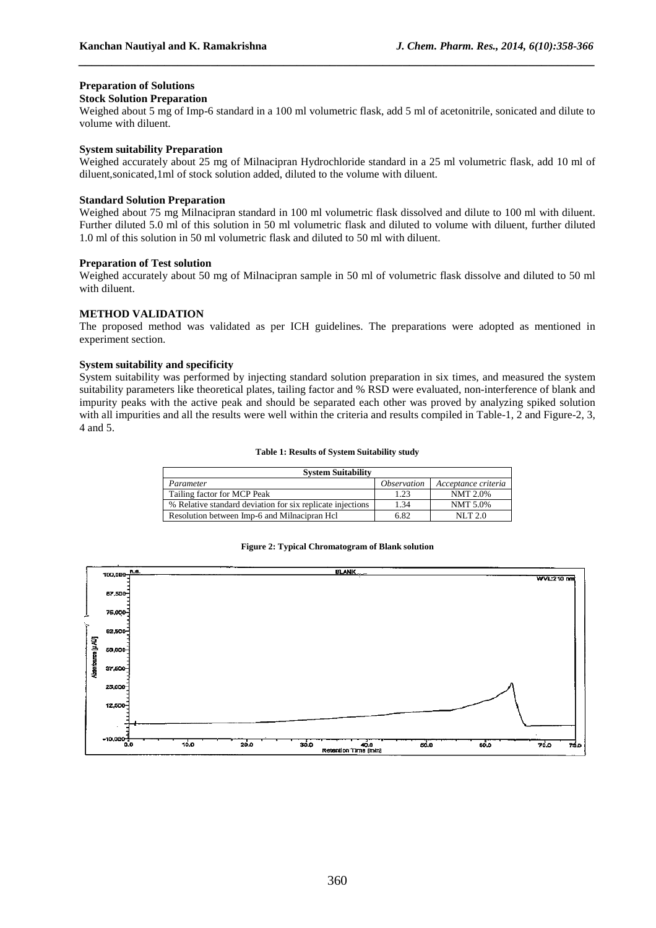## **Preparation of Solutions**

### **Stock Solution Preparation**

Weighed about 5 mg of Imp-6 standard in a 100 ml volumetric flask, add 5 ml of acetonitrile, sonicated and dilute to volume with diluent.

*\_\_\_\_\_\_\_\_\_\_\_\_\_\_\_\_\_\_\_\_\_\_\_\_\_\_\_\_\_\_\_\_\_\_\_\_\_\_\_\_\_\_\_\_\_\_\_\_\_\_\_\_\_\_\_\_\_\_\_\_\_\_\_\_\_\_\_\_\_\_\_\_\_\_\_\_\_\_*

## **System suitability Preparation**

Weighed accurately about 25 mg of Milnacipran Hydrochloride standard in a 25 ml volumetric flask, add 10 ml of diluent,sonicated,1ml of stock solution added, diluted to the volume with diluent.

## **Standard Solution Preparation**

Weighed about 75 mg Milnacipran standard in 100 ml volumetric flask dissolved and dilute to 100 ml with diluent. Further diluted 5.0 ml of this solution in 50 ml volumetric flask and diluted to volume with diluent, further diluted 1.0 ml of this solution in 50 ml volumetric flask and diluted to 50 ml with diluent.

## **Preparation of Test solution**

Weighed accurately about 50 mg of Milnacipran sample in 50 ml of volumetric flask dissolve and diluted to 50 ml with diluent.

## **METHOD VALIDATION**

The proposed method was validated as per ICH guidelines. The preparations were adopted as mentioned in experiment section.

## **System suitability and specificity**

System suitability was performed by injecting standard solution preparation in six times, and measured the system suitability parameters like theoretical plates, tailing factor and % RSD were evaluated, non-interference of blank and impurity peaks with the active peak and should be separated each other was proved by analyzing spiked solution with all impurities and all the results were well within the criteria and results compiled in Table-1, 2 and Figure-2, 3, 4 and 5.

#### **Table 1: Results of System Suitability study**

| <b>System Suitability</b>                                  |                           |                     |  |  |  |  |
|------------------------------------------------------------|---------------------------|---------------------|--|--|--|--|
| Parameter                                                  | <i><b>Observation</b></i> | Acceptance criteria |  |  |  |  |
| Tailing factor for MCP Peak                                | 1.23                      | NMT 2.0%            |  |  |  |  |
| % Relative standard deviation for six replicate injections | 1.34                      | NMT 5.0%            |  |  |  |  |
| Resolution between Imp-6 and Milnacipran Hcl               | 6.82                      | NLT 2.0             |  |  |  |  |

#### **Figure 2: Typical Chromatogram of Blank solution**

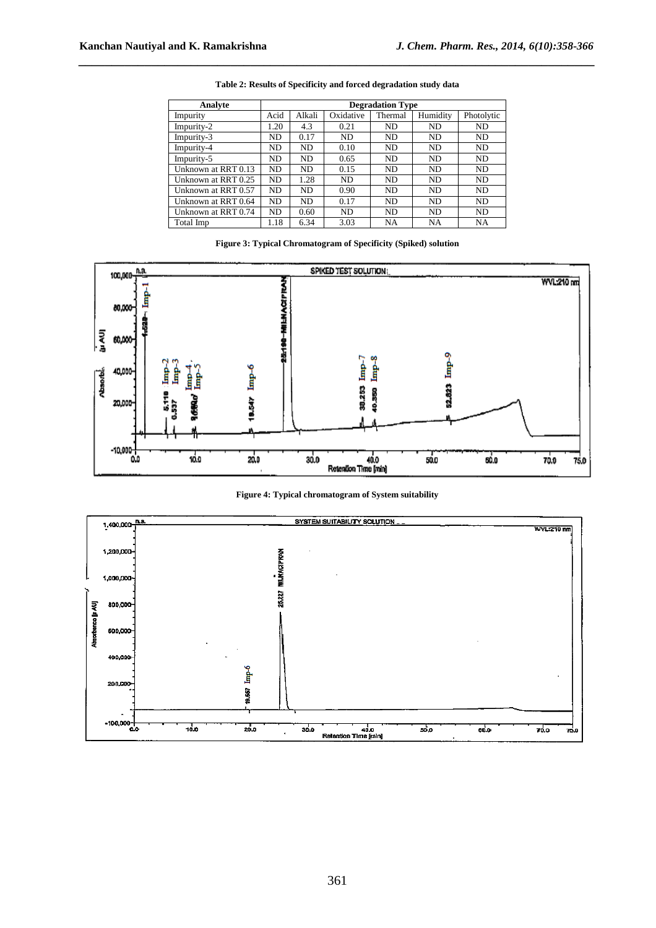| Analyte             | <b>Degradation Type</b> |        |           |           |           |            |  |  |
|---------------------|-------------------------|--------|-----------|-----------|-----------|------------|--|--|
| Impurity            | Acid                    | Alkali | Oxidative | Thermal   | Humidity  | Photolytic |  |  |
| Impurity-2          | 1.20                    | 4.3    | 0.21      | <b>ND</b> | ND.       | ND         |  |  |
| Impurity-3          | ND.                     | 0.17   | ND.       | <b>ND</b> | ND.       | ND         |  |  |
| Impurity-4          | ND.                     | ND.    | 0.10      | <b>ND</b> | <b>ND</b> | ND         |  |  |
| Impurity-5          | ND.                     | ND.    | 0.65      | <b>ND</b> | ND.       | ND         |  |  |
| Unknown at RRT 0.13 | ND.                     | ND.    | 0.15      | <b>ND</b> | ND.       | ND.        |  |  |
| Unknown at RRT 0.25 | ND.                     | 1.28   | ND.       | <b>ND</b> | <b>ND</b> | ND.        |  |  |
| Unknown at RRT 0.57 | ND.                     | ND.    | 0.90      | <b>ND</b> | ND.       | ND.        |  |  |
| Unknown at RRT 0.64 | ND.                     | ND.    | 0.17      | <b>ND</b> | ND.       | ND.        |  |  |
| Unknown at RRT 0.74 | ND.                     | 0.60   | ND.       | <b>ND</b> | ND.       | ND.        |  |  |
| Total Imp           | 1.18                    | 6.34   | 3.03      | NA        | <b>NA</b> | NA         |  |  |

**Table 2: Results of Specificity and forced degradation study data** 

*\_\_\_\_\_\_\_\_\_\_\_\_\_\_\_\_\_\_\_\_\_\_\_\_\_\_\_\_\_\_\_\_\_\_\_\_\_\_\_\_\_\_\_\_\_\_\_\_\_\_\_\_\_\_\_\_\_\_\_\_\_\_\_\_\_\_\_\_\_\_\_\_\_\_\_\_\_\_*

## **Figure 3: Typical Chromatogram of Specificity (Spiked) solution**





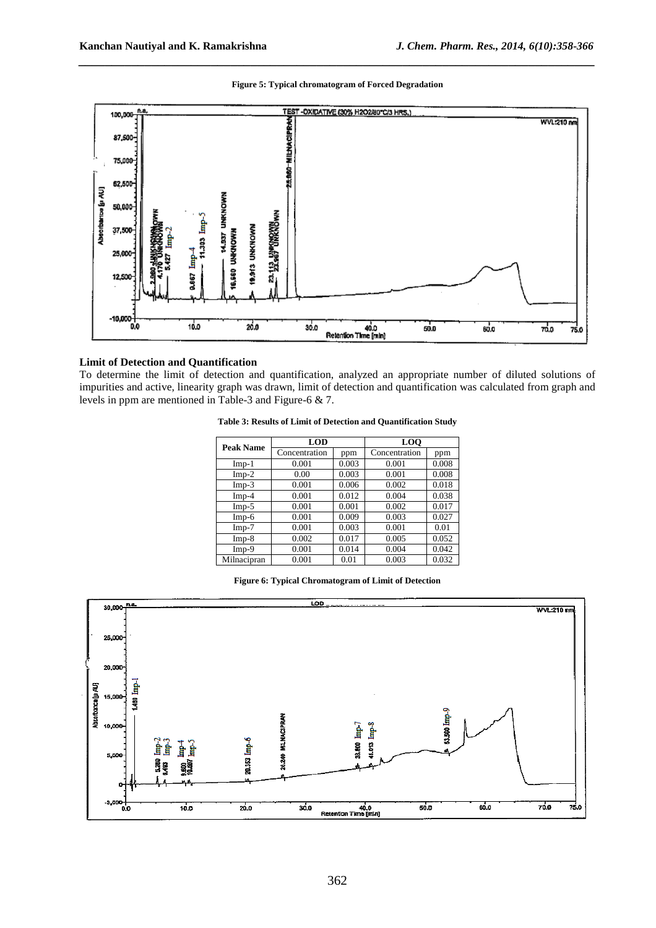### **Figure 5: Typical chromatogram of Forced Degradation**

*\_\_\_\_\_\_\_\_\_\_\_\_\_\_\_\_\_\_\_\_\_\_\_\_\_\_\_\_\_\_\_\_\_\_\_\_\_\_\_\_\_\_\_\_\_\_\_\_\_\_\_\_\_\_\_\_\_\_\_\_\_\_\_\_\_\_\_\_\_\_\_\_\_\_\_\_\_\_*



## **Limit of Detection and Quantification**

To determine the limit of detection and quantification, analyzed an appropriate number of diluted solutions of impurities and active, linearity graph was drawn, limit of detection and quantification was calculated from graph and levels in ppm are mentioned in Table-3 and Figure-6 & 7.

| Table 3: Results of Limit of Detection and Quantification Study |  |
|-----------------------------------------------------------------|--|
|-----------------------------------------------------------------|--|

| Peak Name   | LOD           |       | <b>LOO</b>    |       |  |
|-------------|---------------|-------|---------------|-------|--|
|             | Concentration | ppm   | Concentration | ppm   |  |
| $Imp-1$     | 0.001         | 0.003 | 0.001         | 0.008 |  |
| $Imp-2$     | 0.00          | 0.003 | 0.001         | 0.008 |  |
| $Imp-3$     | 0.001         | 0.006 | 0.002         | 0.018 |  |
| $Imp-4$     | 0.001         | 0.012 | 0.004         | 0.038 |  |
| $Imp-5$     | 0.001         | 0.001 | 0.002         | 0.017 |  |
| Imp-6       | 0.001         | 0.009 | 0.003         | 0.027 |  |
| $Imp-7$     | 0.001         | 0.003 | 0.001         | 0.01  |  |
| $Imp-8$     | 0.002         | 0.017 | 0.005         | 0.052 |  |
| Imp-9       | 0.001         | 0.014 | 0.004         | 0.042 |  |
| Milnacipran | 0.001         | 0.01  | 0.003         | 0.032 |  |

#### **Figure 6: Typical Chromatogram of Limit of Detection**

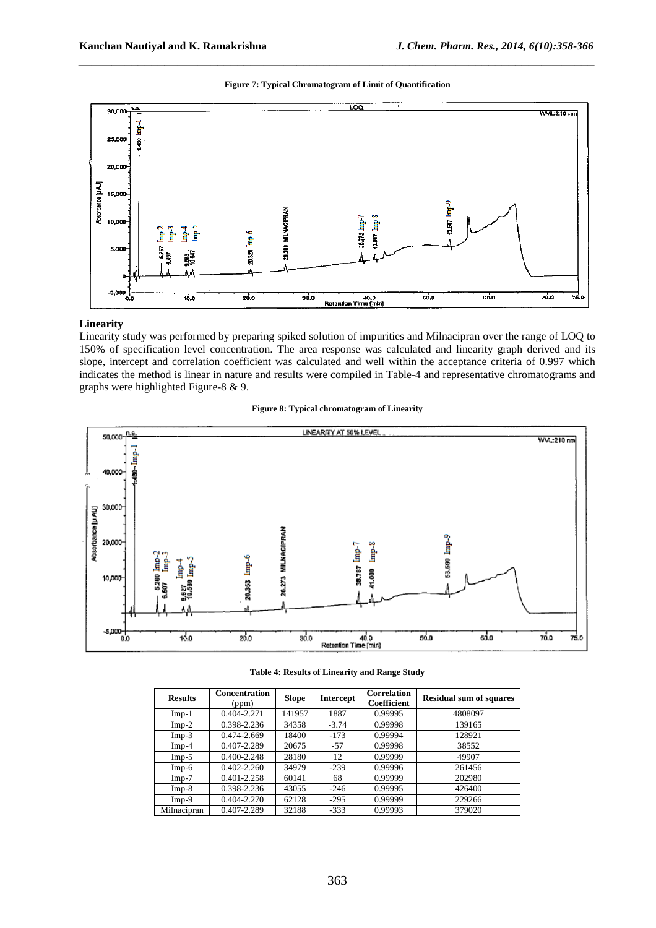

*\_\_\_\_\_\_\_\_\_\_\_\_\_\_\_\_\_\_\_\_\_\_\_\_\_\_\_\_\_\_\_\_\_\_\_\_\_\_\_\_\_\_\_\_\_\_\_\_\_\_\_\_\_\_\_\_\_\_\_\_\_\_\_\_\_\_\_\_\_\_\_\_\_\_\_\_\_\_*



## **Linearity**

Linearity study was performed by preparing spiked solution of impurities and Milnacipran over the range of LOQ to 150% of specification level concentration. The area response was calculated and linearity graph derived and its slope, intercept and correlation coefficient was calculated and well within the acceptance criteria of 0.997 which indicates the method is linear in nature and results were compiled in Table-4 and representative chromatograms and graphs were highlighted Figure-8 & 9.





#### **Table 4: Results of Linearity and Range Study**

| <b>Results</b> | <b>Concentration</b><br>(ppm) | <b>Slope</b> | Intercept | <b>Correlation</b><br>Coefficient | <b>Residual sum of squares</b> |
|----------------|-------------------------------|--------------|-----------|-----------------------------------|--------------------------------|
| $Imp-1$        | 0.404-2.271                   | 141957       | 1887      | 0.99995                           | 4808097                        |
| $Imp-2$        | 0.398-2.236                   | 34358        | $-3.74$   | 0.99998                           | 139165                         |
| $Imp-3$        | 0.474-2.669                   | 18400        | $-173$    | 0.99994                           | 128921                         |
| $Imp-4$        | 0.407-2.289                   | 20675        | $-57$     | 0.99998                           | 38552                          |
| $Imp-5$        | 0.400-2.248                   | 28180        | 12        | 0.99999                           | 49907                          |
| $Imp-6$        | $0.402 - 2.260$               | 34979        | $-239$    | 0.99996                           | 261456                         |
| $Imp-7$        | 0.401-2.258                   | 60141        | 68        | 0.99999                           | 202980                         |
| $Imp-8$        | 0.398-2.236                   | 43055        | $-246$    | 0.99995                           | 426400                         |
| $Imp-9$        | 0.404-2.270                   | 62128        | $-295$    | 0.99999                           | 229266                         |
| Milnacipran    | 0.407-2.289                   | 32188        | $-333$    | 0.99993                           | 379020                         |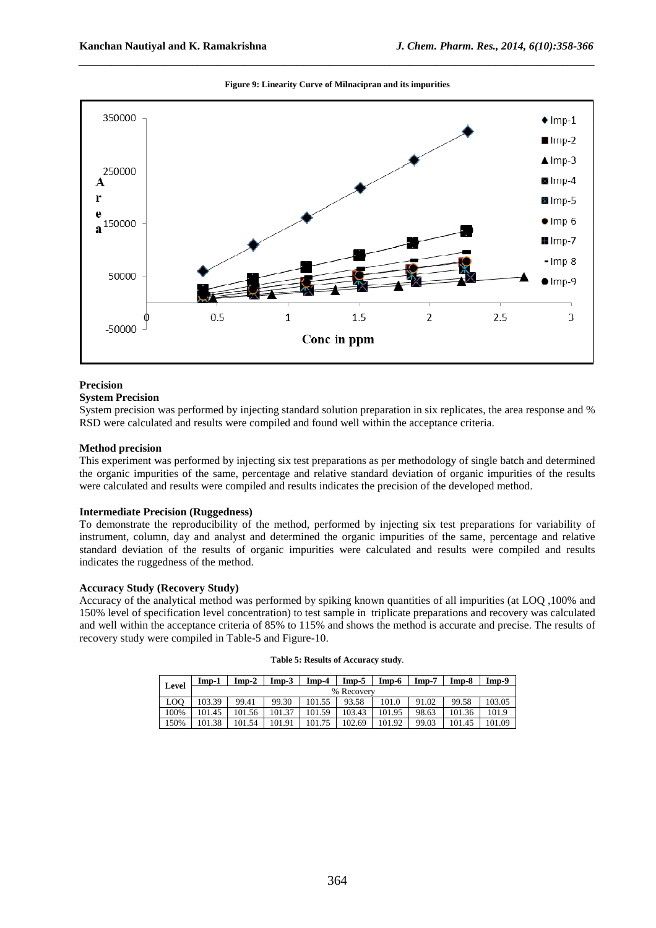

#### **Figure 9: Linearity Curve of Milnacipran and its impurities**

*\_\_\_\_\_\_\_\_\_\_\_\_\_\_\_\_\_\_\_\_\_\_\_\_\_\_\_\_\_\_\_\_\_\_\_\_\_\_\_\_\_\_\_\_\_\_\_\_\_\_\_\_\_\_\_\_\_\_\_\_\_\_\_\_\_\_\_\_\_\_\_\_\_\_\_\_\_\_*

## **Precision**

## **System Precision**

System precision was performed by injecting standard solution preparation in six replicates, the area response and % RSD were calculated and results were compiled and found well within the acceptance criteria.

#### **Method precision**

This experiment was performed by injecting six test preparations as per methodology of single batch and determined the organic impurities of the same, percentage and relative standard deviation of organic impurities of the results were calculated and results were compiled and results indicates the precision of the developed method.

## **Intermediate Precision (Ruggedness)**

To demonstrate the reproducibility of the method, performed by injecting six test preparations for variability of instrument, column, day and analyst and determined the organic impurities of the same, percentage and relative standard deviation of the results of organic impurities were calculated and results were compiled and results indicates the ruggedness of the method.

## **Accuracy Study (Recovery Study)**

Accuracy of the analytical method was performed by spiking known quantities of all impurities (at LOQ ,100% and 150% level of specification level concentration) to test sample in triplicate preparations and recovery was calculated and well within the acceptance criteria of 85% to 115% and shows the method is accurate and precise. The results of recovery study were compiled in Table-5 and Figure-10.

| Level | Imp-1      | $Imp-2$ | Imp-3  | $Imp-4$ | $Imp-5$ | $Imp-6$ | $Imp-7$ | $Imp-8$ | $Imp-9$ |
|-------|------------|---------|--------|---------|---------|---------|---------|---------|---------|
|       | % Recovery |         |        |         |         |         |         |         |         |
| LOO   | 103.39     | 99.41   | 99.30  | 101.55  | 93.58   | 101.0   | 91.02   | 99.58   | 103.05  |
| 100%  | 101.45     | 101.56  | 101.37 | 101.59  | 103.43  | 101.95  | 98.63   | 101.36  | 101.9   |
| 150%  | 101.38     | 101.54  | 101.91 | 101.75  | 102.69  | 101.92  | 99.03   | 101.45  | 101.09  |

| Table 5: Results of Accuracy study. |  |  |
|-------------------------------------|--|--|
|-------------------------------------|--|--|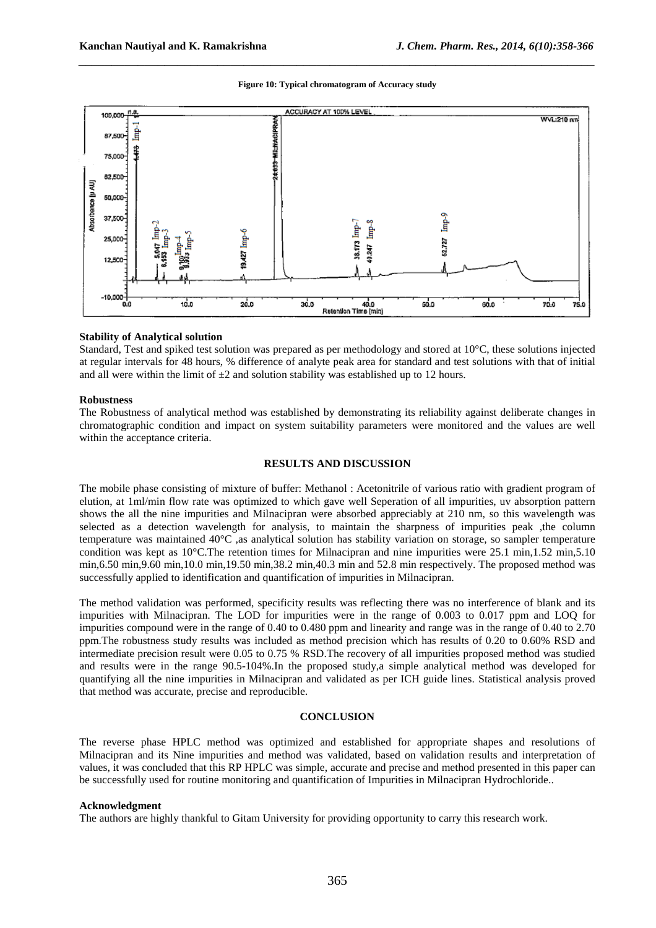**Figure 10: Typical chromatogram of Accuracy study** 

*\_\_\_\_\_\_\_\_\_\_\_\_\_\_\_\_\_\_\_\_\_\_\_\_\_\_\_\_\_\_\_\_\_\_\_\_\_\_\_\_\_\_\_\_\_\_\_\_\_\_\_\_\_\_\_\_\_\_\_\_\_\_\_\_\_\_\_\_\_\_\_\_\_\_\_\_\_\_*



#### **Stability of Analytical solution**

Standard, Test and spiked test solution was prepared as per methodology and stored at 10°C, these solutions injected at regular intervals for 48 hours, % difference of analyte peak area for standard and test solutions with that of initial and all were within the limit of  $\pm 2$  and solution stability was established up to 12 hours.

#### **Robustness**

The Robustness of analytical method was established by demonstrating its reliability against deliberate changes in chromatographic condition and impact on system suitability parameters were monitored and the values are well within the acceptance criteria.

## **RESULTS AND DISCUSSION**

The mobile phase consisting of mixture of buffer: Methanol : Acetonitrile of various ratio with gradient program of elution, at 1ml/min flow rate was optimized to which gave well Seperation of all impurities, uv absorption pattern shows the all the nine impurities and Milnacipran were absorbed appreciably at 210 nm, so this wavelength was selected as a detection wavelength for analysis, to maintain the sharpness of impurities peak ,the column temperature was maintained 40°C ,as analytical solution has stability variation on storage, so sampler temperature condition was kept as 10°C. The retention times for Milnacipran and nine impurities were 25.1 min,1.52 min,5.10 min,6.50 min,9.60 min,10.0 min,19.50 min,38.2 min,40.3 min and 52.8 min respectively. The proposed method was successfully applied to identification and quantification of impurities in Milnacipran.

The method validation was performed, specificity results was reflecting there was no interference of blank and its impurities with Milnacipran. The LOD for impurities were in the range of 0.003 to 0.017 ppm and LOQ for impurities compound were in the range of 0.40 to 0.480 ppm and linearity and range was in the range of 0.40 to 2.70 ppm.The robustness study results was included as method precision which has results of 0.20 to 0.60% RSD and intermediate precision result were 0.05 to 0.75 % RSD.The recovery of all impurities proposed method was studied and results were in the range 90.5-104%.In the proposed study,a simple analytical method was developed for quantifying all the nine impurities in Milnacipran and validated as per ICH guide lines. Statistical analysis proved that method was accurate, precise and reproducible.

## **CONCLUSION**

The reverse phase HPLC method was optimized and established for appropriate shapes and resolutions of Milnacipran and its Nine impurities and method was validated, based on validation results and interpretation of values, it was concluded that this RP HPLC was simple, accurate and precise and method presented in this paper can be successfully used for routine monitoring and quantification of Impurities in Milnacipran Hydrochloride..

#### **Acknowledgment**

The authors are highly thankful to Gitam University for providing opportunity to carry this research work.